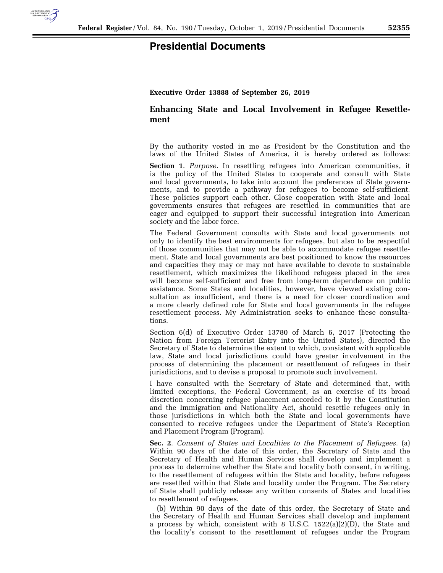

## **Presidential Documents**

## **Executive Order 13888 of September 26, 2019**

## **Enhancing State and Local Involvement in Refugee Resettlement**

By the authority vested in me as President by the Constitution and the laws of the United States of America, it is hereby ordered as follows:

**Section 1**. *Purpose.* In resettling refugees into American communities, it is the policy of the United States to cooperate and consult with State and local governments, to take into account the preferences of State governments, and to provide a pathway for refugees to become self-sufficient. These policies support each other. Close cooperation with State and local governments ensures that refugees are resettled in communities that are eager and equipped to support their successful integration into American society and the labor force.

The Federal Government consults with State and local governments not only to identify the best environments for refugees, but also to be respectful of those communities that may not be able to accommodate refugee resettlement. State and local governments are best positioned to know the resources and capacities they may or may not have available to devote to sustainable resettlement, which maximizes the likelihood refugees placed in the area will become self-sufficient and free from long-term dependence on public assistance. Some States and localities, however, have viewed existing consultation as insufficient, and there is a need for closer coordination and a more clearly defined role for State and local governments in the refugee resettlement process. My Administration seeks to enhance these consultations.

Section 6(d) of Executive Order 13780 of March 6, 2017 (Protecting the Nation from Foreign Terrorist Entry into the United States), directed the Secretary of State to determine the extent to which, consistent with applicable law, State and local jurisdictions could have greater involvement in the process of determining the placement or resettlement of refugees in their jurisdictions, and to devise a proposal to promote such involvement.

I have consulted with the Secretary of State and determined that, with limited exceptions, the Federal Government, as an exercise of its broad discretion concerning refugee placement accorded to it by the Constitution and the Immigration and Nationality Act, should resettle refugees only in those jurisdictions in which both the State and local governments have consented to receive refugees under the Department of State's Reception and Placement Program (Program).

**Sec. 2**. *Consent of States and Localities to the Placement of Refugees.* (a) Within 90 days of the date of this order, the Secretary of State and the Secretary of Health and Human Services shall develop and implement a process to determine whether the State and locality both consent, in writing, to the resettlement of refugees within the State and locality, before refugees are resettled within that State and locality under the Program. The Secretary of State shall publicly release any written consents of States and localities to resettlement of refugees.

(b) Within 90 days of the date of this order, the Secretary of State and the Secretary of Health and Human Services shall develop and implement a process by which, consistent with 8 U.S.C.  $1522(a)(2)(D)$ , the State and the locality's consent to the resettlement of refugees under the Program